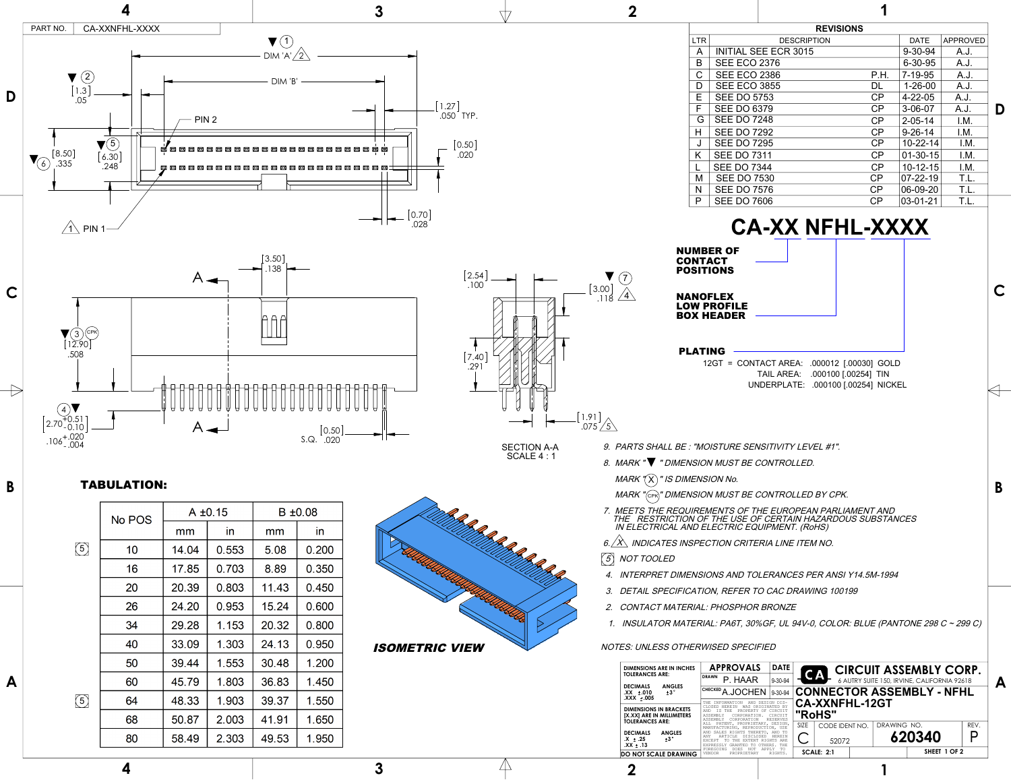1.91 .075  $\angle$  5

- 9. PARTS SHALL BE : "MOISTURE SENSITIVITY LEVEL #1".
- 8. MARK "▼ " DIMENSION MUST BE CONTROLLED.



 7. MEETS THE REQUIREMENTS OF THE EUROPEAN PARLIAMENT AND THE RESTRICTION OF THE USE OF CERTAIN HAZARDOUS SUBSTANCES IN ELECTRICAL AND ELECTRIC EQUIPMENT. (RoHS)

6.  $\overleftrightarrow{X}$  INDICATES INSPECTION CRITERIA LINE ITEM NO.



4. INTERPRET DIMENSIONS AND TOLERANCES PER ANSI Y14.5M-1994



- 3. DETAIL SPECIFICATION, REFER TO CAC DRAWING 100199
- 2. CONTACT MATERIAL: PHOSPHOR BRONZE
- 1. INSULATOR MATERIAL: PA6T, 30%GF, UL 94V-0, COLOR: BLUE (PANTONE 298 C ~ 299 C)

NOTES: UNLESS OTHERWISED SPECIFIED

## TABULATION:

NUMBER OF **CONTACT** POSITIONS

NANOFLEX LOW PROFILE BOX HEADER

MARK " $({\mathsf X})$ " IS DIMENSION No.

MARK "(cpk)" DIMENSION MUST BE CONTROLLED BY CPK.

PLATING 12GT = CONTACT AREA: .000012 [.00030] GOLD TAIL AREA: .000100 [.00254] TIN UNDERPLATE: .000100 [.00254] NICKEL

**CA-XX NFHL-XXXX**

**B**

**B**

**C**

|                                                                        | B ±0.08<br>$A \pm 0.15$<br>No POS<br>$\overline{\phantom{a}}$ . The contract of $\overline{\phantom{a}}$<br>mm<br>mm                                                                          |  | 7. MEETS THE REQUIREMENTS OF T<br>THE RESTRICTION OF THE USE C<br>IN ELECTRICAL AND ELECTRIC EQ |
|------------------------------------------------------------------------|-----------------------------------------------------------------------------------------------------------------------------------------------------------------------------------------------|--|-------------------------------------------------------------------------------------------------|
|                                                                        | 14.04   0.553  <br>$\vert 5.08 \vert 0.200 \vert$                                                                                                                                             |  | 6. ANDICATES INSPECTION CRITE                                                                   |
| $\fbox{5}$ NOT TOOLED<br>$\mathcal{D}$                                 | 17.85   0.703   8.89   0.350                                                                                                                                                                  |  | 4. INTERPRET DIMENSIONS AND TO                                                                  |
|                                                                        | $\begin{array}{ c c c c c c c c } \hline \text{20.39} & \text{0.803} & \text{11.43} & \text{0.450} \ \hline \end{array}$                                                                      |  | 3. DETAIL SPECIFICATION, REFER 1                                                                |
|                                                                        | 24.20   0.953   15.24   0.600<br>26                                                                                                                                                           |  | 2. CONTACT MATERIAL: PHOSPHOP                                                                   |
|                                                                        | 29.28   1.153   20.32   0.800 $^{\prime}$                                                                                                                                                     |  | . INSULATOR MATERIAL: PA6T, 30                                                                  |
| <b>ISOMETRIC VIEW</b><br>NOTES: UNLESS OTHERWISED SPECI                | $\vert$ 33.09 $\vert$ 1.303 $\vert$ 24.13 $\vert$ 0.950<br>40                                                                                                                                 |  |                                                                                                 |
|                                                                        | $\vert$ 39.44 $\vert$ 1.553 $\vert$ 30.48 $\vert$ 1.200<br>and the control of the control of the control of                                                                                   |  | DIMENSIONS ARE IN INCHES <b>APPROVAL</b>                                                        |
| DECIMALS ANGLES                                                        | $\vert$ 45.79 $\vert$ 1.803 $\vert$ 36.83 $\vert$ 1.450 $\vert$<br>60                                                                                                                         |  | DRAWN P. HAAF<br>CHECKED A.JOCHI                                                                |
|                                                                        | $\begin{array}{ c c c c c c c c } \hline &48.33 & 1.903 & 39.37 & 1.550 \ \hline \end{array}$<br><b>O4</b>                                                                                    |  |                                                                                                 |
| DIMENSIONS IN BRACKETS<br>[X.XX] ARE IN MILLIMETERS<br>TOLERANCES ARE: | $\vert$ 50.87 $\vert$ 2.003<br> 41.91 1.650                                                                                                                                                   |  |                                                                                                 |
| DECIMALS ANGLES<br>$±$ .25<br>.XX ± .13                                | $\begin{array}{ c c c c c c c c } \hline \quad & 58.49 & 2.303 & 49.53 & 1.950 \ \hline \end{array}$<br>80<br>the contract of the contract of the contract of the contract of the contract of |  |                                                                                                 |
|                                                                        |                                                                                                                                                                                               |  |                                                                                                 |

| <b>DIMENSIONS ARE IN INCHES</b>                                                      | <b>APPROVALS</b>                                                                                                                                                               | <b>DATE</b>                |                                                          |                                 |  |             | <b>CIRCUIT ASSEMBLY CORP.</b>    |      |
|--------------------------------------------------------------------------------------|--------------------------------------------------------------------------------------------------------------------------------------------------------------------------------|----------------------------|----------------------------------------------------------|---------------------------------|--|-------------|----------------------------------|------|
| <b>TOLERANCES ARE:</b>                                                               | <b>DRAWN</b><br>P. HAAR                                                                                                                                                        | 9-30-94                    | <b>CA</b><br>6 AUTRY SUITE 150, IRVINE, CALIFORNIA 92618 |                                 |  |             |                                  |      |
| <b>DECIMALS</b><br><b>ANGLES</b><br>$+3^\circ$<br>$XX \pm .010$<br>$XXX + .005$      | CHECKED A.JOCHEN                                                                                                                                                               | $9 - 30 - 94$              |                                                          |                                 |  |             | <b>CONNECTOR ASSEMBLY - NFHL</b> |      |
| <b>DIMENSIONS IN BRACKETS</b><br>[X.XX] ARE IN MILLIMETERS<br><b>TOLERANCES ARE:</b> | AND DESIGN DIS-<br><b>INFORMATION</b><br>WAS ORIGINATED BY<br>CLOSED HEREIN<br>T S<br>THE<br>PROPERTY OF CIRCUIT<br>AND<br>ASSEMBLY<br>CORPORATION.<br>ASSEMBLY<br>CORPORATION | CIRCUIT<br><b>RESERVES</b> |                                                          | <b>CA-XXNFHL-12GT</b><br>"RoHS" |  |             |                                  |      |
|                                                                                      | PATENT, PROPRIETARY, DESIGN,<br>MANUFACTURING, REPRODUCTION, USE                                                                                                               |                            | <b>SIZE</b>                                              | CODE IDENT NO.                  |  | DRAWING NO. |                                  | RFV. |
| <b>DECIMALS</b><br><b>ANGLES</b><br>$+3°$<br>$\mathsf{X} \pm .25$<br>$XX \pm .13$    | AND SALES RIGHTS THERETO, AND TO<br>ANY<br>DISCLOSED.<br>EXTENT RIGHTS ARE<br>THE.<br>OTHERS.<br>EXPRESSI <sub>N</sub><br>GRANTED<br>TO                                        | <b>HEREIN</b><br>THE       |                                                          | 52072                           |  |             | 620340                           |      |
|                                                                                      |                                                                                                                                                                                |                            | SHEET 1 OF 2<br><b>SCALE: 2:1</b>                        |                                 |  |             |                                  |      |

| <b>INLYIOIUINO</b> |                             |      |                |                 |   |  |  |
|--------------------|-----------------------------|------|----------------|-----------------|---|--|--|
| <b>LTR</b>         | <b>DESCRIPTION</b>          |      | <b>DATE</b>    | <b>APPROVED</b> |   |  |  |
| A                  | <b>INITIAL SEE ECR 3015</b> |      | $9 - 30 - 94$  | A.J.            |   |  |  |
| B                  | <b>SEE ECO 2376</b>         |      | 6-30-95        | A.J.            |   |  |  |
| C                  | <b>SEE ECO 2386</b>         | P.H. | $7 - 19 - 95$  | A.J.            |   |  |  |
| D                  | <b>SEE ECO 3855</b>         | DL   | $1 - 26 - 00$  | A.J.            |   |  |  |
| E                  | <b>SEE DO 5753</b>          | CP   | $4 - 22 - 05$  | A.J.            |   |  |  |
| F                  | <b>SEE DO 6379</b>          | CP   | $3 - 06 - 07$  | A.J.            | D |  |  |
| G                  | <b>SEE DO 7248</b>          | CP   | $2 - 05 - 14$  | I.M.            |   |  |  |
| н                  | <b>SEE DO 7292</b>          | CP   | $9 - 26 - 14$  | I.M.            |   |  |  |
| J                  | <b>SEE DO 7295</b>          | CP   | $10 - 22 - 14$ | I.M.            |   |  |  |
| K                  | <b>SEE DO 7311</b>          | CP   | $01 - 30 - 15$ | I.M.            |   |  |  |
|                    | <b>SEE DO 7344</b>          | CP   | $10 - 12 - 15$ | I.M.            |   |  |  |
| M                  | <b>SEE DO 7530</b>          | CP   | $07 - 22 - 19$ | T.L.            |   |  |  |
| N                  | <b>SEE DO 7576</b>          | CP   | 06-09-20       | T.L.            |   |  |  |
| P                  | <b>SEE DO 7606</b>          | CP   | $03 - 01 - 21$ | T.L.            |   |  |  |
|                    |                             |      |                |                 |   |  |  |